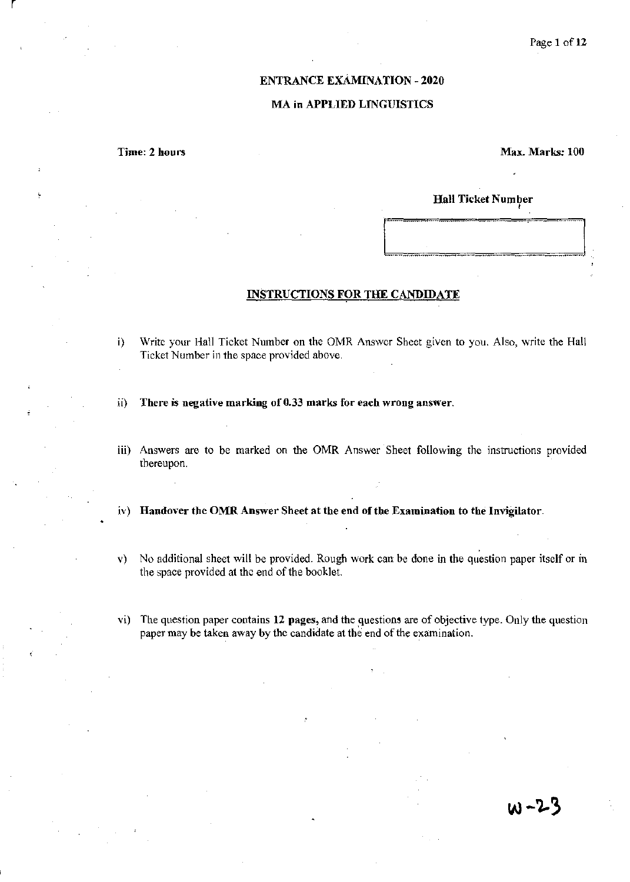#### ENTRANCE ExAMINATION - 2020

#### MA in APPLIED LINGUISTICS

Time: 2 hours

Max. Marks: 100

# Hall Ticket Number ,

### INSTRUCTIONS FOR THE CANDIDATE

**[** 

- i) Write your Hall Ticket Number on the OMR Answer Sheet given to you. Also, write the Hall Ticket Number in the space provided above.
- ii) There is negative marking of 0.33 marks for each wrong answer.
- iii) Answers are to be marked on the OMR Answer Sheet following the instructions provided thereupon.
- iv) Handover the OMR Answer Sheet at the end of the Examination to the Invigilator.
- v) No additional sheet will be provided. Rough work can be done in the question paper itself or in the space provided at the end of the booklet.
- vi) The question paper contains 12 pages, and the questions are of objective type. Only the question paper may be taken away by the candidate at the end of the examination.

w-23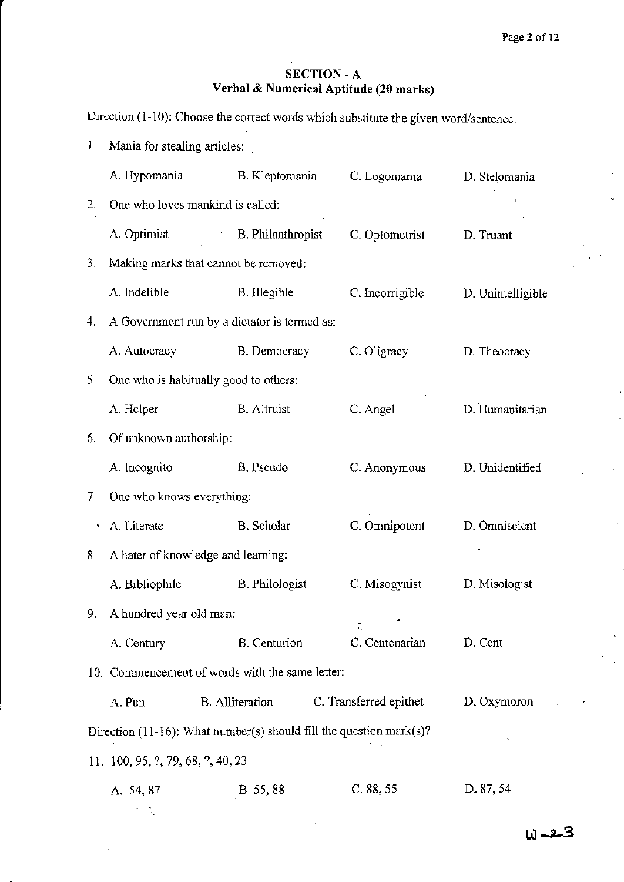## SECTION - A **Verbal & Numerical Aptitude (20 marks)**

Direction (1-10): Choose the correct words which substitute the given word/sentence.

| L, | Mania for stealing articles:                                        |                                                 |                        |                   |  |  |
|----|---------------------------------------------------------------------|-------------------------------------------------|------------------------|-------------------|--|--|
|    | A. Hypomania                                                        | B. Kleptomania                                  | C. Logomania           | D. Stelomania     |  |  |
| 2. | One who loves mankind is called:                                    |                                                 |                        |                   |  |  |
|    | A. Optimist                                                         | <b>B.</b> Philanthropist                        | C. Optometrist         | D. Truant         |  |  |
| 3. |                                                                     | Making marks that cannot be removed:            |                        |                   |  |  |
|    | A. Indelible                                                        | B. Illegible                                    | C. Incorrigible        | D. Unintelligible |  |  |
|    |                                                                     | 4. A Government run by a dictator is termed as: |                        |                   |  |  |
|    | A. Autocracy                                                        | B. Democracy                                    | C. Oligracy            | D. Theocracy      |  |  |
| 5. |                                                                     | One who is habitually good to others:           |                        |                   |  |  |
|    | A. Helper                                                           | <b>B.</b> Altruist                              | C. Angel               | D. Humanitarian   |  |  |
| 6. | Of unknown authorship:                                              |                                                 |                        |                   |  |  |
|    | A. Incognito                                                        | B. Pseudo                                       | C. Anonymous           | D. Unidentified   |  |  |
| 7. | One who knows everything:                                           |                                                 |                        |                   |  |  |
|    | A. Literate                                                         | B. Scholar                                      | C. Omnipotent          | D. Omniscient     |  |  |
| 8. | A hater of knowledge and learning:                                  |                                                 |                        |                   |  |  |
|    | A. Bibliophile                                                      | <b>B.</b> Philologist                           | C. Misogynist          | D. Misologist     |  |  |
|    | 9. A hundred year old man:                                          |                                                 |                        |                   |  |  |
|    | A. Century                                                          | <b>B.</b> Centurion                             | C. Centenarian         | D. Cent           |  |  |
|    |                                                                     | 10. Commencement of words with the same letter: |                        |                   |  |  |
|    | A. Pun                                                              | <b>B.</b> Alliteration                          | C. Transferred epithet | D. Oxymoron       |  |  |
|    | Direction (11-16): What number(s) should fill the question mark(s)? |                                                 |                        |                   |  |  |
|    | 11. 100, 95, ?, 79, 68, ?, 40, 23                                   |                                                 |                        |                   |  |  |
|    | A. 54, 87                                                           | B. 55, 88                                       | C. 88, 55              | D. 87, 54         |  |  |
|    |                                                                     |                                                 |                        |                   |  |  |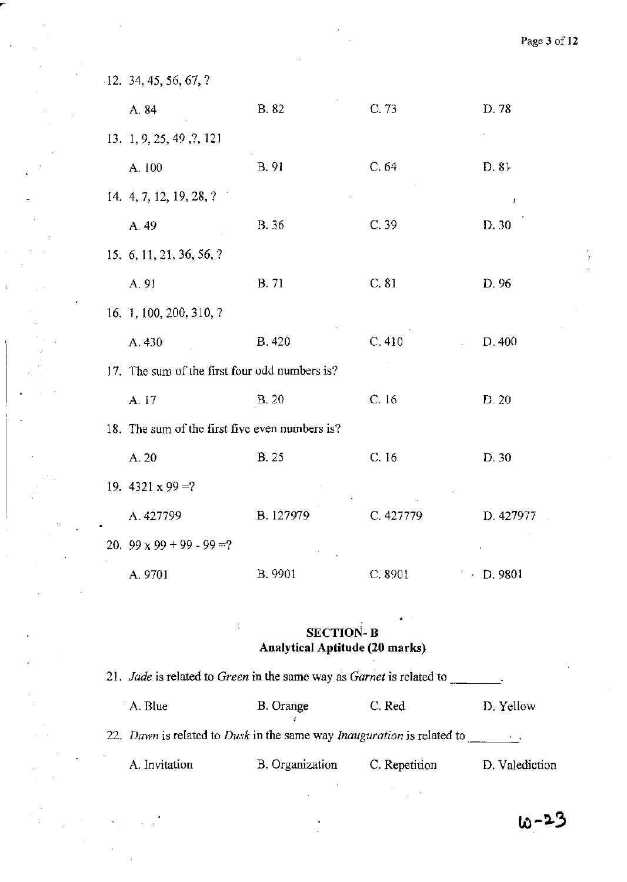| $-12.34, 45, 56, 67, ?$                        |              |              |           |
|------------------------------------------------|--------------|--------------|-----------|
| A. 84                                          | B. 82        | C. 73        | D. 78     |
| 13. 1, 9, 25, 49, ?, 121                       |              |              |           |
| A. 100                                         | B. 91        | C.64         | D. 81     |
| 14. 4, 7, 12, 19, 28, ?                        |              |              | t         |
| A. 49                                          | B. 36        | C.39         | D. 30     |
| 15. $6, 11, 21, 36, 56, ?$                     |              |              |           |
| A. 91                                          | <b>B.</b> 71 | C. 81        | D. 96     |
| 16. 1, 100, 200, 310, ?                        |              |              |           |
| A. 430                                         | <b>B.420</b> | C.410        | D.400     |
| 17. The sum of the first four odd numbers is?  |              |              |           |
| A. 17                                          | <b>B.20</b>  | C.16         | D. 20     |
| 18. The sum of the first five even numbers is? |              |              |           |
| A. 20                                          | <b>B.25</b>  | C.16         | D. 30     |
| 19. $4321 \times 99 = ?$                       |              |              |           |
| A. 427799                                      | B. 127979    | C. 427779    | D. 427977 |
| 20. $99 \times 99 + 99 - 99 = ?$               |              |              |           |
| A. 9701                                        | B. 9901      | C. 8901<br>٠ | D. 9801   |

l,

## $\mathbf{r} = \mathbf{r} \cdot \mathbf{r}$ **SECTION- B Analytical Aptitude (20 marks)**

| 21. Jade is related to Green in the same way as Garnet is related to   |                 |               |                |
|------------------------------------------------------------------------|-----------------|---------------|----------------|
| A. Blue                                                                | B. Orange       | C. Red        | D. Yellow      |
| 22. Dawn is related to Dusk in the same way Inauguration is related to |                 |               |                |
| A. Invitation                                                          | B. Organization | C. Repetition | D. Valediction |

 $\bar{\chi}$ 

 $10 - 23$ 

**Page 3** of 12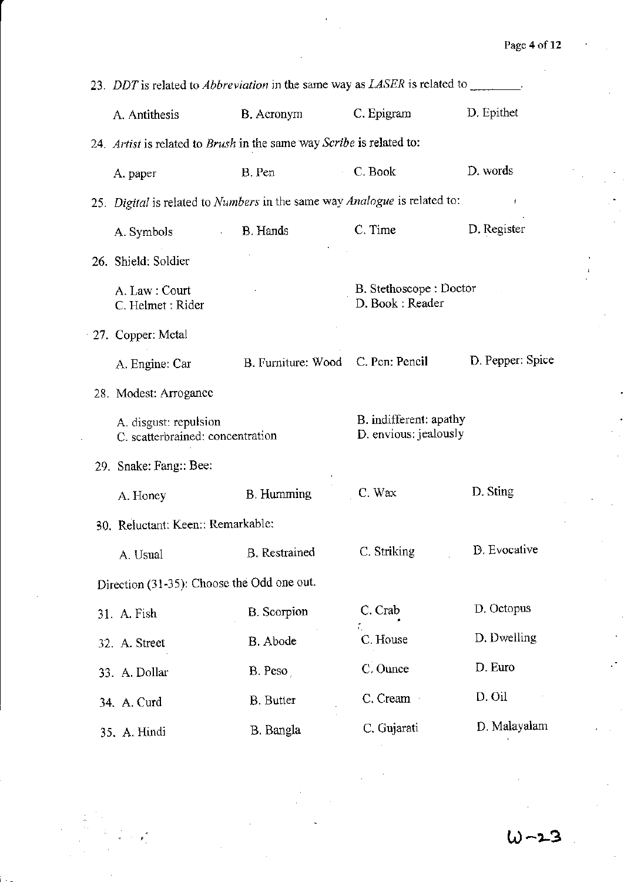| 23. DDT is related to <i>Abbreviation</i> in the same way as <i>LASER</i> is related to _______. |                                   |                                                 |                  |  |
|--------------------------------------------------------------------------------------------------|-----------------------------------|-------------------------------------------------|------------------|--|
| A. Antithesis                                                                                    | B. Acronym                        | C. Epigram                                      | D. Epithet       |  |
| 24. Artist is related to Brush in the same way Scribe is related to:                             |                                   |                                                 |                  |  |
| A. paper                                                                                         | B. Pen                            | C. Book                                         | D. words         |  |
| 25. Digital is related to Numbers in the same way Analogue is related to:                        |                                   |                                                 | f.               |  |
| A. Symbols<br>$\mathcal{A}^{\mathrm{c}}$ and                                                     | B. Hands                          | C. Time                                         | D. Register      |  |
| 26. Shield: Soldier                                                                              |                                   |                                                 |                  |  |
| A. Law: Court<br>C. Helmet : Rider                                                               |                                   | B. Stethoscope : Doctor<br>D. Book: Reader      |                  |  |
| 27. Copper: Metal                                                                                |                                   |                                                 |                  |  |
| A. Engine: Car                                                                                   | B. Furniture: Wood C. Pen: Pencil |                                                 | D. Pepper: Spice |  |
| 28. Modest: Arrogance                                                                            |                                   |                                                 |                  |  |
| A. disgust: repulsion<br>C. scatterbrained: concentration                                        |                                   | B. indifferent: apathy<br>D. envious: jealously |                  |  |
|                                                                                                  |                                   |                                                 |                  |  |
| 29. Snake: Fang:: Bee:                                                                           |                                   |                                                 |                  |  |
| A. Honey                                                                                         | <b>B.</b> Humming                 | C. Wax                                          | D. Sting         |  |
| 30. Reluctant: Keen:: Remarkable:                                                                |                                   |                                                 |                  |  |
| A. Usual                                                                                         | B. Restrained                     | C. Striking                                     | D. Evocative     |  |
| Direction (31-35): Choose the Odd one out.                                                       |                                   |                                                 |                  |  |
| 31. A. Fish                                                                                      | <b>B.</b> Scorpion                | C. Crab                                         | D. Octopus       |  |
| 32. A. Street                                                                                    | B. Abode                          | C. House                                        | D. Dwelling      |  |
| 33. A. Dollar                                                                                    | B. Peso                           | C. Ounce                                        | D. Euro          |  |
| 34. A. Curd                                                                                      | <b>B.</b> Butter                  | C. Cream                                        | D. Oil           |  |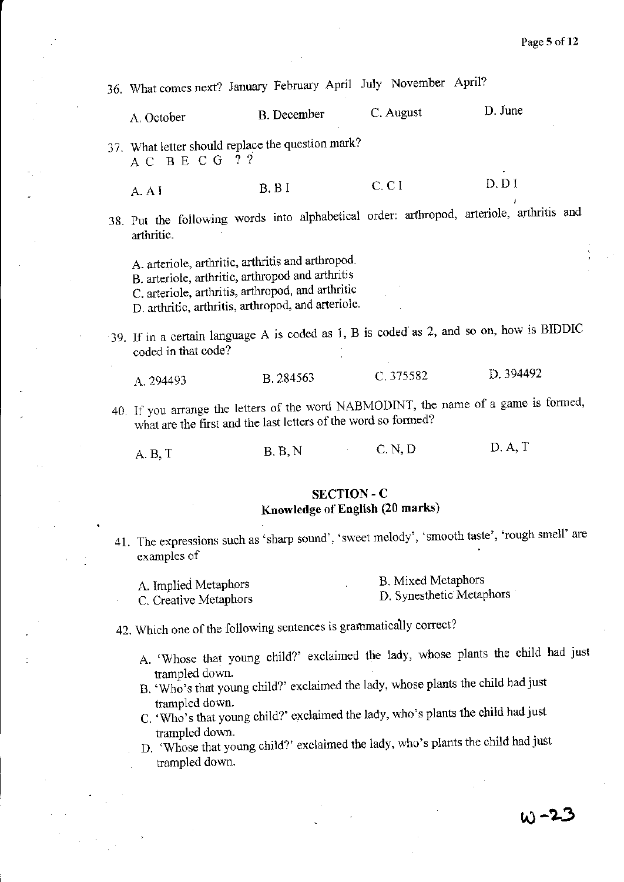36. What comes next? January February April July November April? A. October B. December C. August D. June 37. What letter should replace the question mark? ACBECG??  $A \cap A$  **B. B** I **c. C** I **D. D** I 38. Put the following words into alphabetical order: arthropod, arteriole, arthritis and arthritic. A. arteriole, arthritic, arthritis and arthropod. S. arteriole, arthritic, arthropod and arthritis C. arteriole, arthritis, arthropod, and arthritic D. arthritic, arthritis, arthropod, and arteriole. 39. If in a certain language A is coded as J, B is coded' as 2, and so on, how is BIDDIC coded in that code? A. 294493 B. 284563 C. 375582 D. 394492 40. If you arrange the letters of the word NABMODINT, the name of a game is formed, what are the first and the last letters of the word so formed? A.B, T B.B, N C.N, D SECTION -C Knowledge of English (20 marks) D.A,T

41. The expressions such as 'sharp sound', 'sweet melody', 'smooth taste', 'rough smell' are examples of

| A. Implied Metaphors  | B. Mixed Metaphors       |
|-----------------------|--------------------------|
| C. Creative Metaphors | D. Synesthetic Metaphors |

- 42. Which one of the following sentences is grammatically correct?
	- A. 'Whose that young child?' exclaimed the lady, whose plants the child had just trampled down.
	- B. 'Who's that young child?' exclaimed the lady, whose plants the child had just trampled down.
	- C. 'Who's that young child?' exclaimed the lady, who's plants the child had just trampled down.
	- D. 'Whose that young child?' exclaimed the lady, who's plants the child had just trampled down.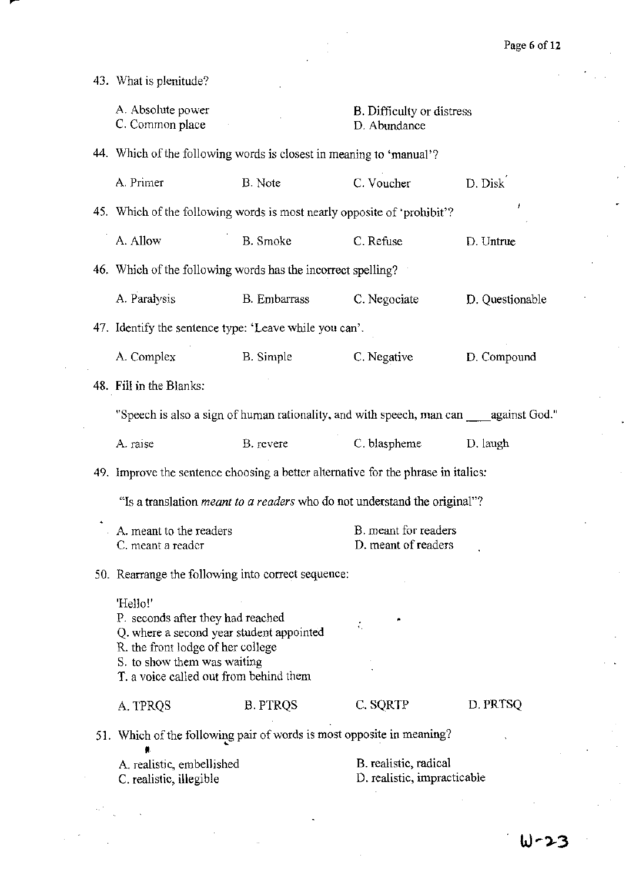43. What is plenitude?

| A. Absolute power<br>C. Common place                                                                                                                                                                    |                 | <b>B.</b> Difficulty or distress<br>D. Abundance     |                 |
|---------------------------------------------------------------------------------------------------------------------------------------------------------------------------------------------------------|-----------------|------------------------------------------------------|-----------------|
| 44. Which of the following words is closest in meaning to 'manual'?                                                                                                                                     |                 |                                                      |                 |
| A. Primer                                                                                                                                                                                               | B. Note         | C. Voucher                                           | D. Disk         |
| 45. Which of the following words is most nearly opposite of 'prohibit'?                                                                                                                                 |                 |                                                      |                 |
| A. Allow                                                                                                                                                                                                | B. Smoke        | C. Refuse                                            | D. Untrue       |
| 46. Which of the following words has the incorrect spelling?                                                                                                                                            |                 |                                                      |                 |
| A. Paralysis                                                                                                                                                                                            | B. Embarrass    | C. Negociate                                         | D. Questionable |
| 47. Identify the sentence type: 'Leave while you can'.                                                                                                                                                  |                 |                                                      |                 |
| A. Complex                                                                                                                                                                                              | B. Simple       | C. Negative                                          | D. Compound     |
| 48. Fill in the Blanks:                                                                                                                                                                                 |                 |                                                      |                 |
| "Speech is also a sign of human rationality, and with speech, man can against God."                                                                                                                     |                 |                                                      |                 |
| A. raise                                                                                                                                                                                                | B. revere       | C. blaspheme                                         | D. laugh        |
| 49. Improve the sentence choosing a better alternative for the phrase in italics:                                                                                                                       |                 |                                                      |                 |
| "Is a translation <i>meant to a readers</i> who do not understand the original"?                                                                                                                        |                 |                                                      |                 |
| A. meant to the readers<br>C. meant a reader                                                                                                                                                            |                 | B. meant for readers<br>D. meant of readers          |                 |
| 50. Rearrange the following into correct sequence:                                                                                                                                                      |                 |                                                      |                 |
| 'Hello!'<br>P. seconds after they had reached<br>Q. where a second year student appointed<br>R. the front lodge of her college<br>S. to show them was waiting<br>T. a voice called out from behind them |                 | ÷.                                                   |                 |
| A. TPRQS                                                                                                                                                                                                | <b>B. PTRQS</b> | C. SQRTP                                             | D. PRTSQ        |
| 51. Which of the following pair of words is most opposite in meaning?                                                                                                                                   |                 |                                                      |                 |
| A. realistic, embellished<br>C. realistic, illegible                                                                                                                                                    |                 | B. realistic, radical<br>D. realistic, impracticable |                 |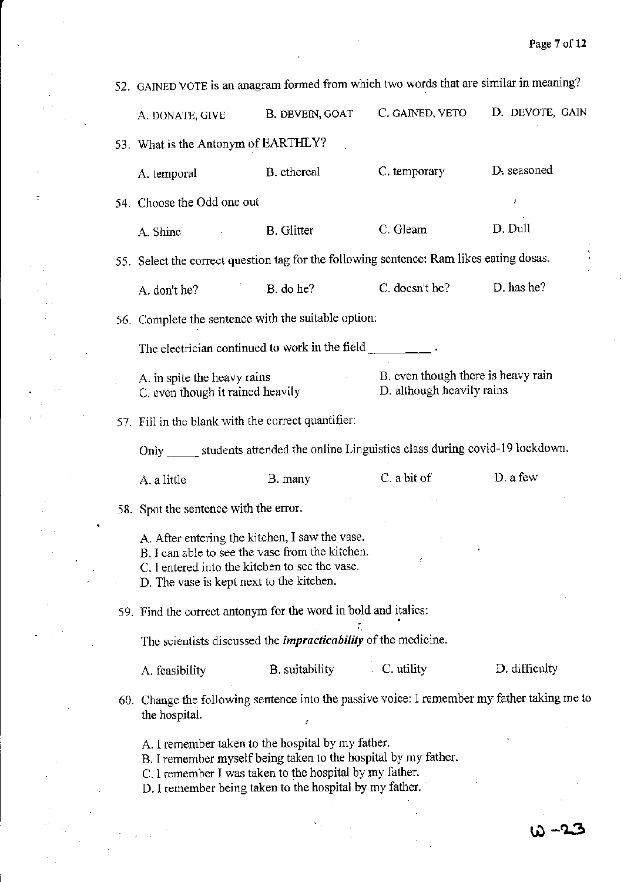$\frac{1}{2}$ 

 $\sim$ 

|  | 52. GAINED VOTE is an anagram formed from which two words that are similar in meaning?                                                                                                                                                                                                                                                                                                    |                   |                                                                 |                 |
|--|-------------------------------------------------------------------------------------------------------------------------------------------------------------------------------------------------------------------------------------------------------------------------------------------------------------------------------------------------------------------------------------------|-------------------|-----------------------------------------------------------------|-----------------|
|  | A. DONATE, GIVE                                                                                                                                                                                                                                                                                                                                                                           | B. DEVEIN, GOAT   | C. GAINED, VETO                                                 | D. DEVOTE, GAIN |
|  | 53. What is the Antonym of EARTHLY?                                                                                                                                                                                                                                                                                                                                                       |                   |                                                                 |                 |
|  | A. temporal                                                                                                                                                                                                                                                                                                                                                                               | B. ethereal       | C. temporary                                                    | D. seasoned     |
|  | 54. Choose the Odd one out                                                                                                                                                                                                                                                                                                                                                                |                   |                                                                 | J               |
|  | A. Shine                                                                                                                                                                                                                                                                                                                                                                                  | <b>B.</b> Glitter | C. Gleam                                                        | D. Dull         |
|  | 55. Select the correct question tag for the following sentence: Ram likes eating dosas.                                                                                                                                                                                                                                                                                                   |                   |                                                                 |                 |
|  | A. don't he?                                                                                                                                                                                                                                                                                                                                                                              | B. do he?         | C. doesn't he?                                                  | D. has he?      |
|  | 56. Complete the sentence with the suitable option:                                                                                                                                                                                                                                                                                                                                       |                   |                                                                 |                 |
|  | The electrician continued to work in the field $\frac{1}{\sqrt{1-\frac{1}{\sqrt{1-\frac{1}{\sqrt{1-\frac{1}{\sqrt{1-\frac{1}{\sqrt{1-\frac{1}{\sqrt{1-\frac{1}{\sqrt{1-\frac{1}{\sqrt{1-\frac{1}{\sqrt{1-\frac{1}{\sqrt{1-\frac{1}{\sqrt{1-\frac{1}{\sqrt{1-\frac{1}{\sqrt{1-\frac{1}{\sqrt{1-\frac{1}{\sqrt{1-\frac{1}{\sqrt{1-\frac{1}{\sqrt{1-\frac{1}{\sqrt{1-\frac{1}{\sqrt{1-\frac$ |                   |                                                                 |                 |
|  | A. in spite the heavy rains<br>C, even though it rained heavily                                                                                                                                                                                                                                                                                                                           |                   | B. even though there is heavy rain<br>D. although heavily rains |                 |
|  | 57. Fill in the blank with the correct quantifier:                                                                                                                                                                                                                                                                                                                                        |                   |                                                                 |                 |
|  | Only ______ students attended the online Linguistics class during covid-19 lockdown.                                                                                                                                                                                                                                                                                                      |                   |                                                                 |                 |
|  | A. a little                                                                                                                                                                                                                                                                                                                                                                               | B. many           | C. a bit of                                                     | D. a few        |
|  | 58. Spot the sentence with the error.                                                                                                                                                                                                                                                                                                                                                     |                   |                                                                 |                 |
|  | A. After entering the kitchen, I saw the vase.<br>B. I can able to see the vase from the kitchen.<br>C. I entered into the kitchen to see the vase.<br>D. The vase is kept next to the kitchen.                                                                                                                                                                                           |                   |                                                                 |                 |
|  | 59. Find the correct antonym for the word in bold and italics:                                                                                                                                                                                                                                                                                                                            |                   |                                                                 |                 |
|  | The scientists discussed the <i>impracticability</i> of the medicine.                                                                                                                                                                                                                                                                                                                     |                   |                                                                 |                 |
|  | A. feasibility                                                                                                                                                                                                                                                                                                                                                                            | B. suitability    | $\cdot$ C. utility                                              | D. difficulty   |
|  | 60. Change the following sentence into the passive voice: I remember my father taking me to<br>the hospital.                                                                                                                                                                                                                                                                              |                   |                                                                 |                 |
|  | A. I remember taken to the hospital by my father.<br>B. I remember myself being taken to the hospital by my father.<br>C. I remember I was taken to the hospital by my father.<br>D. I remember being taken to the hospital by my father.                                                                                                                                                 |                   |                                                                 |                 |
|  |                                                                                                                                                                                                                                                                                                                                                                                           |                   |                                                                 |                 |
|  |                                                                                                                                                                                                                                                                                                                                                                                           |                   |                                                                 |                 |

 $\sim$   $\sim$ 

 $\sim 10$  $\sim$   $\sim$ 

 $\sim$   $\sim$  $\mathcal{A}$  $\frac{1}{2}$  ,  $\frac{1}{2}$ 

 $\omega$ 

 $\tau$ 

 $\bar{z}$  $\hat{\mathcal{A}}$ 

 $\sim 10^{11}$  $\bar{\beta}$ 

 $\hat{r}^{\dagger}$  ,  $\hat{r}^{\dagger}$ 

 $\sim 10^{11}$  $\overline{a}$ 

 $\bar{a}$ 

 $\frac{1}{2}$ 

 $\Delta \sim 10^{11}$  and  $\Delta \sim 10^{11}$ 

l.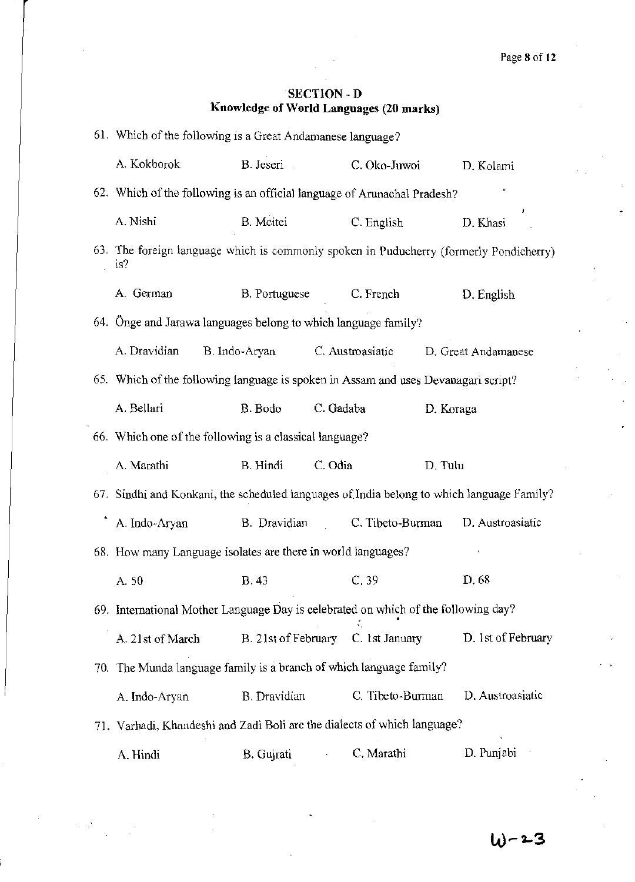## SECTION - D **Knowledge of World Languages (20 marks)**

| 61. Which of the following is a Great Andamanese language?                                    |                      |           |                  |           |                     |
|-----------------------------------------------------------------------------------------------|----------------------|-----------|------------------|-----------|---------------------|
| A. Kokborok                                                                                   | B. Jeseri            |           | C. Oko-Juwoi     |           | D. Kolami           |
| 62. Which of the following is an official language of Arunachal Pradesh?                      |                      |           |                  |           |                     |
| A. Nishi                                                                                      | B. Meitei            |           | C. English       |           | D. Khasi            |
| 63. The foreign language which is commonly spoken in Puducherry (formerly Pondicherry)<br>is? |                      |           |                  |           |                     |
| A. German                                                                                     | <b>B.</b> Portuguese |           | C. French        |           | D. English          |
| 64. Önge and Jarawa languages belong to which language family?                                |                      |           |                  |           |                     |
| A. Dravidian                                                                                  | B. Indo-Aryan        |           | C. Austroasiatic |           | D. Great Andamanese |
| 65. Which of the following language is spoken in Assam and uses Devanagari script?            |                      |           |                  |           |                     |
| A. Bellari                                                                                    | B. Bodo              | C. Gadaba |                  | D. Koraga |                     |
| 66. Which one of the following is a classical language?                                       |                      |           |                  |           |                     |
| A. Marathi                                                                                    | B. Hindi             | C. Odia   |                  | D. Tulu   |                     |
| 67. Sindhi and Konkani, the scheduled languages of India belong to which language Family?     |                      |           |                  |           |                     |
| A. Indo-Aryan                                                                                 | B. Dravidian         |           | C. Tibeto-Burman |           | D. Austroasiatic    |
| 68. How many Language isolates are there in world languages?                                  |                      |           |                  |           |                     |
| A. 50                                                                                         | <b>B.</b> 43         |           | C.39             |           | D. 68               |
| 69. International Mother Language Day is celebrated on which of the following day?            |                      |           |                  |           |                     |
| A. 21st of March                                                                              | B. 21st of February  |           | C. 1st January   |           | D. 1st of February  |
| 70. The Munda language family is a branch of which language family?                           |                      |           |                  |           |                     |
| A. Indo-Aryan                                                                                 | <b>B.</b> Dravidian  |           | C. Tibeto-Burman |           | D. Austroasiatic    |
| 71. Varhadi, Khandeshi and Zadi Boli are the dialects of which language?                      |                      |           |                  |           |                     |
| A. Hindi                                                                                      | B. Gujrati           |           | C. Marathi       |           | D. Punjabi          |

 $\mathcal{L}(\mathcal{L})$  .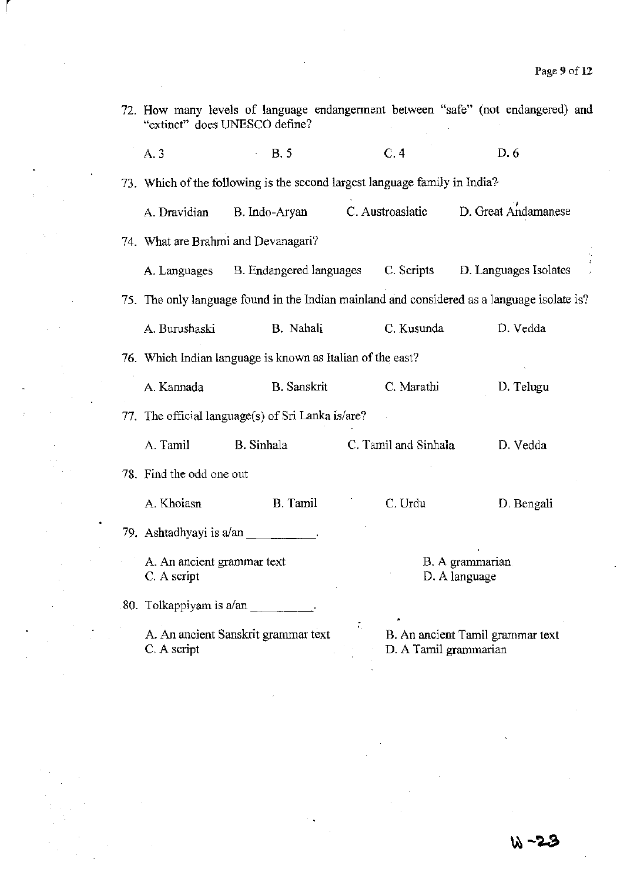| 72. How many levels of language endangerment between "safe" (not endangered) and<br>"extinct" does UNESCO define? |                                                                            |           |                       |                                                                                             |
|-------------------------------------------------------------------------------------------------------------------|----------------------------------------------------------------------------|-----------|-----------------------|---------------------------------------------------------------------------------------------|
| A. 3                                                                                                              | <b>B.5</b>                                                                 |           | C.4                   | D.6                                                                                         |
|                                                                                                                   | 73. Which of the following is the second largest language family in India? |           |                       |                                                                                             |
| A. Dravidian                                                                                                      | B. Indo-Aryan                                                              |           | C. Austroasiatic      | D. Great Andamanese                                                                         |
|                                                                                                                   | 74. What are Brahmi and Devanagari?                                        |           |                       |                                                                                             |
|                                                                                                                   |                                                                            |           |                       | A. Languages B. Endangered languages C. Scripts D. Languages Isolates                       |
|                                                                                                                   |                                                                            |           |                       | 75. The only language found in the Indian mainland and considered as a language isolate is? |
| A. Burushaski                                                                                                     | B. Nahali                                                                  |           | C. Kusunda            | D. Vedda                                                                                    |
|                                                                                                                   | 76. Which Indian language is known as Italian of the east?                 |           |                       |                                                                                             |
| A. Kannada                                                                                                        | <b>B.</b> Sanskrit                                                         |           | C. Marathi            | D. Telugu                                                                                   |
|                                                                                                                   | 77. The official language(s) of Sri Lanka is/are?                          |           |                       |                                                                                             |
| A. Tamil                                                                                                          | B. Sinhala                                                                 |           | C. Tamil and Sinhala  | D. Vedda                                                                                    |
| 78. Find the odd one out                                                                                          |                                                                            |           |                       |                                                                                             |
| A. Khoiasn                                                                                                        | <b>B.</b> Tamil                                                            |           | C. Urdu               | D. Bengali                                                                                  |
| 79. Ashtadhyayi is a/an                                                                                           |                                                                            |           |                       |                                                                                             |
| A. An ancient grammar text<br>C. A script                                                                         |                                                                            |           |                       | B. A grammarian<br>D. A language                                                            |
| 80. Tolkappiyam is a/an                                                                                           |                                                                            |           |                       |                                                                                             |
| C. A script                                                                                                       | A. An ancient Sanskrit grammar text                                        | $\zeta_1$ | D. A Tamil grammarian | B. An ancient Tamil grammar text                                                            |

l,

 $\left| \right|$ 

 $\sim$ 

 $\ddot{\phantom{0}}$ 

 $\ddot{\phantom{1}}$ 

 $\boldsymbol{\cdot}$ 

 $\Delta \sim 2$ 

 $\frac{1}{2}$ 

 $\bar{\beta}$ 

l,

 $\frac{d\mathcal{L}_{\text{max}}}{d\mathcal{L}_{\text{max}}^2}$ 

 $\frac{1}{2}$ 

 $\mathcal{A}_1$ 

 $\frac{1}{2}$ 

 $\sim$ 

 $\frac{1}{2}$ 

 $\overline{\phantom{a}}$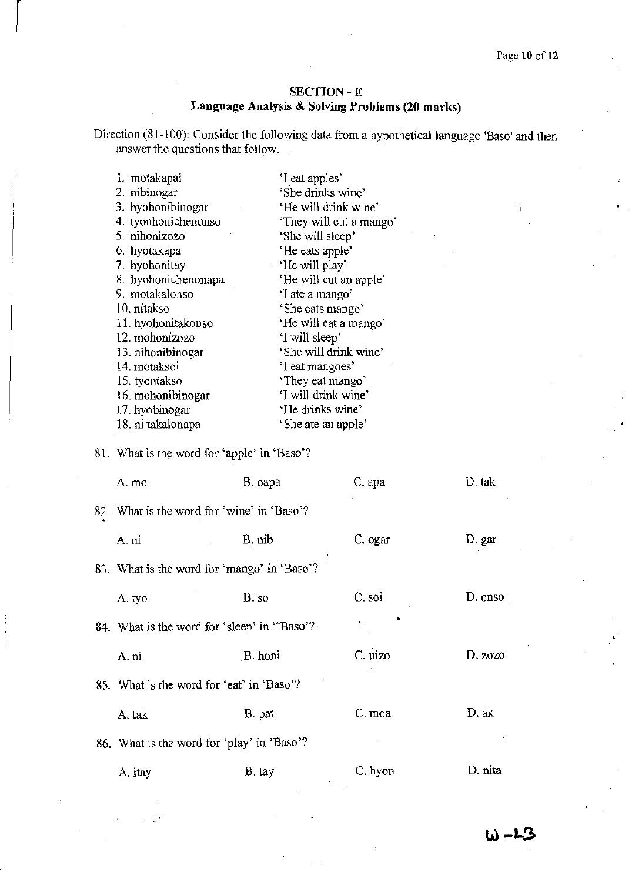## SECTION - E Language Analysis & Solving Problems (20 marks)

Direction (81-100): Consider the following data from a hypothetical language 'Base' and then answer the questions that follow.

| 1. motakapai        | 'I eat apples'          |
|---------------------|-------------------------|
| 2. nibinogar        | 'She drinks wine'       |
| 3. hyohonibinogar   | 'He will drink wine'    |
| 4. tyonhonichenonso | 'They will cut a mango' |
| 5. nihonizozo       | 'She will sleep'        |
| 6. hyotakapa        | 'He eats apple'         |
| 7. hyohonitay       | He will play'           |
| 8. hyohonichenonapa | 'He will cut an apple'  |
| 9. motakalonso      | 'I ate a mango'         |
| 10. nitakso         | 'She eats mango'        |
| 11. hyohonitakonso  | 'He will eat a mango'   |
| 12. mohonizozo      | 'I will sleep'          |
| 13. nihonibinogar   | 'She will drink wine'   |
| 14. motaksoi        | 'I eat mangoes'         |
| 15. tyontakso       | 'They eat mango'        |
| 16. mohonibinogar   | 'I will drink wine'     |
| 17. hyobinogar      | 'He drinks wine'        |
| 18. ni takalonapa   | 'She ate an apple'      |
|                     |                         |

# 81. What is the word for 'apple' in 'Baso'?

 $\mathbb{R}^3$ 

 $\begin{bmatrix} \phantom{-} \end{bmatrix}$ 

| A. mo                                       | B. oapa | C. apa  | D. tak  |
|---------------------------------------------|---------|---------|---------|
| 82. What is the word for 'wine' in 'Baso'?  |         |         |         |
| A. ni                                       | B. nib  | C. ogar | D. gar  |
| 83. What is the word for 'mango' in 'Baso'? |         |         |         |
| A. tyo                                      | B. so   | C. soi  | D. onso |
| 84. What is the word for 'sleep' in 'Baso'? |         | Φ       |         |
| A. ni                                       | B. honi | C. nizo | D. zozo |
| 85. What is the word for 'eat' in 'Baso'?   |         |         |         |
| A. tak                                      | B. pat  | C. moa  | D. ak   |
| 86. What is the word for 'play' in 'Baso'?  |         |         |         |
| A. itay                                     | B. tay  | C. hyon | D. nita |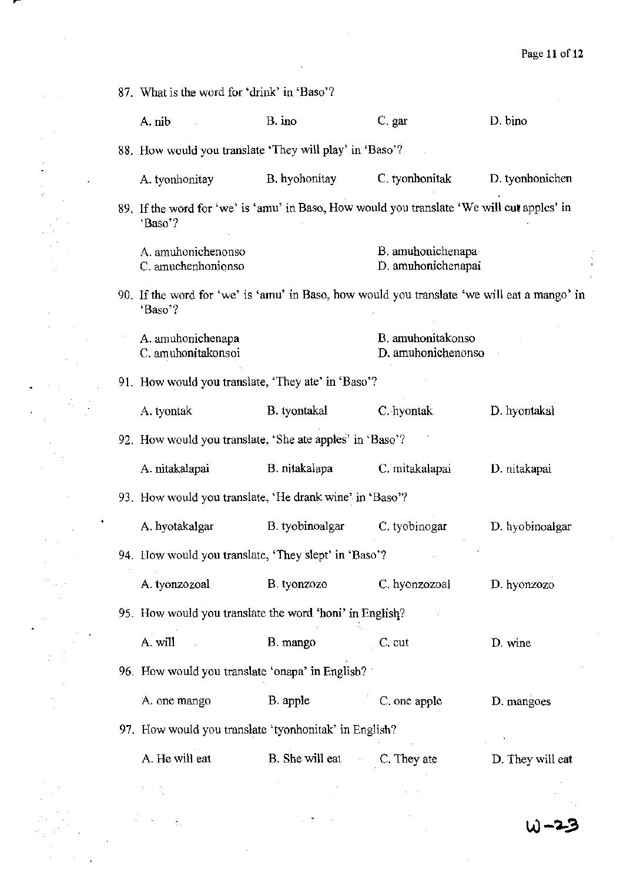87. What is the word for 'drink' in 'Baso'? A. nib B. ino C. gar D. bino 88. How would you translate 'They will play' in 'Baso'? A. tyanhanitay B. hyahonitay C. tyonhanitak D. tyonhonichcn 89. If the word for 'we' is 'amu' in Baso, How would you translate 'We will cut apples' in 'Baso'? A. amuhonichenonso C. amuchenhonionso B, amuhonichenapa D. amuhonichenapai 90, If the word for 'we' is 'amu' in Baso, how would you translate 'we will eat a mango' in 'Baso'? A amuhonichenapa C, amuhonitakonsoi 91. How would you translate, 'They ate' in 'Baso'? A. tyontak B. tyontakal B, amuhonitakonso D, amuhonichenonso C.·hyontak 92. How would you translate, 'She ate apples' in 'Baso'? A. nitakalapai B. nitakalapa C. mitakalapai 93. How would you translate, 'He drank wine'. in 'Baso'? A. hyotakalgar B. tyobinoalgar C. tyobinogar 94. How would you translate, 'They slept' in 'Baso'? A. tyonzozoal B. tyonzozo C. hyonzozoal 95. How would you translate the word 'honi' in English? A. will B. mango C. cut 96. How would you translate 'onapa' in English? : A. one mango B. apple C. one apple 97, How would you translate 'tyonhonitak' in English? A. He will eat B. She will eat C. They ate D. hyontakal D. nitakapai D. hyobinoalgar D. hyonzozo D. wine D. mangoes D. They will eat

W-25